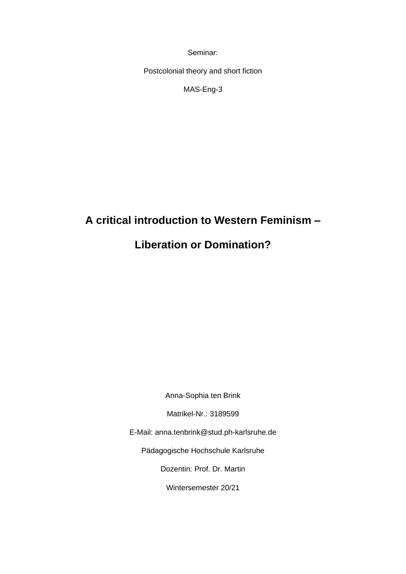Seminar:

Postcolonial theory and short fiction

MAS-Eng-3

# **A critical introduction to Western Feminism –**

## **Liberation or Domination?**

Anna-Sophia ten Brink

Matrikel-Nr.: 3189599

E-Mail: anna.tenbrink@stud.ph-karlsruhe.de

Pädagogische Hochschule Karlsruhe

Dozentin: Prof. Dr. Martin

Wintersemester 20/21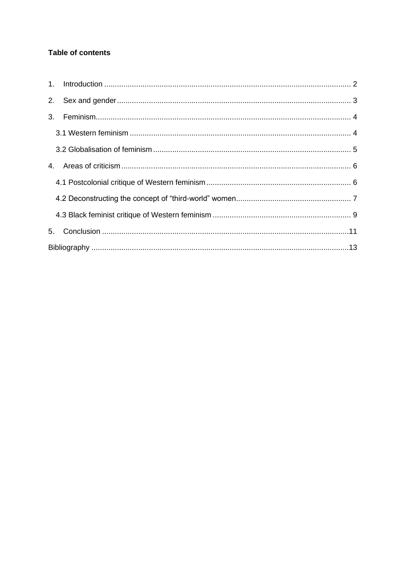## **Table of contents**

| 5. |  |  |
|----|--|--|
|    |  |  |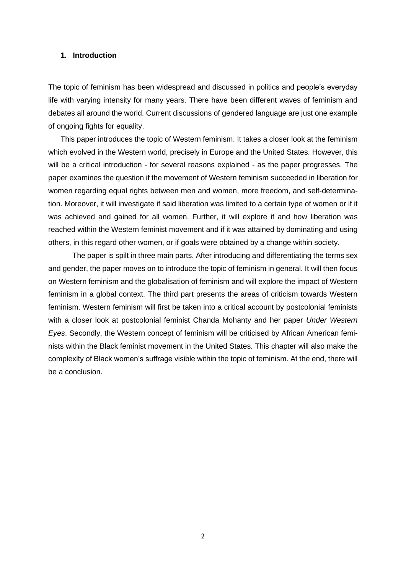#### <span id="page-2-0"></span>**1. Introduction**

The topic of feminism has been widespread and discussed in politics and people's everyday life with varying intensity for many years. There have been different waves of feminism and debates all around the world. Current discussions of gendered language are just one example of ongoing fights for equality.

This paper introduces the topic of Western feminism. It takes a closer look at the feminism which evolved in the Western world, precisely in Europe and the United States. However, this will be a critical introduction - for several reasons explained - as the paper progresses. The paper examines the question if the movement of Western feminism succeeded in liberation for women regarding equal rights between men and women, more freedom, and self-determination. Moreover, it will investigate if said liberation was limited to a certain type of women or if it was achieved and gained for all women. Further, it will explore if and how liberation was reached within the Western feminist movement and if it was attained by dominating and using others, in this regard other women, or if goals were obtained by a change within society.

The paper is spilt in three main parts. After introducing and differentiating the terms sex and gender, the paper moves on to introduce the topic of feminism in general. It will then focus on Western feminism and the globalisation of feminism and will explore the impact of Western feminism in a global context. The third part presents the areas of criticism towards Western feminism. Western feminism will first be taken into a critical account by postcolonial feminists with a closer look at postcolonial feminist Chanda Mohanty and her paper *Under Western Eyes*. Secondly, the Western concept of feminism will be criticised by African American feminists within the Black feminist movement in the United States. This chapter will also make the complexity of Black women's suffrage visible within the topic of feminism. At the end, there will be a conclusion.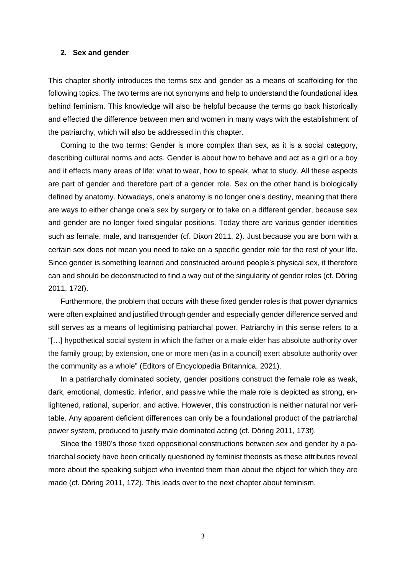#### <span id="page-3-0"></span>**2. Sex and gender**

This chapter shortly introduces the terms sex and gender as a means of scaffolding for the following topics. The two terms are not synonyms and help to understand the foundational idea behind feminism. This knowledge will also be helpful because the terms go back historically and effected the difference between men and women in many ways with the establishment of the patriarchy, which will also be addressed in this chapter.

Coming to the two terms: Gender is more complex than sex, as it is a social category, describing cultural norms and acts. Gender is about how to behave and act as a girl or a boy and it effects many areas of life: what to wear, how to speak, what to study. All these aspects are part of gender and therefore part of a gender role. Sex on the other hand is biologically defined by anatomy. Nowadays, one's anatomy is no longer one's destiny, meaning that there are ways to either change one's sex by surgery or to take on a different gender, because sex and gender are no longer fixed singular positions. Today there are various gender identities such as female, male, and transgender (cf. Dixon 2011, 2). Just because you are born with a certain sex does not mean you need to take on a specific gender role for the rest of your life. Since gender is something learned and constructed around people's physical sex, it therefore can and should be deconstructed to find a way out of the singularity of gender roles (cf. Döring 2011, 172f).

Furthermore, the problem that occurs with these fixed gender roles is that power dynamics were often explained and justified through gender and especially gender difference served and still serves as a means of legitimising patriarchal power. Patriarchy in this sense refers to a "[…] [hypothetical](https://www.merriam-webster.com/dictionary/hypothetical) social system in which the father or a male elder has absolute authority over the [family](https://www.britannica.com/topic/family-kinship) group; by extension, one or more men (as in a council) exert absolute authority over the [community](https://www.merriam-webster.com/dictionary/community) as a whole" (Editors of Encyclopedia Britannica, 2021).

In a patriarchally dominated society, gender positions construct the female role as weak, dark, emotional, domestic, inferior, and passive while the male role is depicted as strong, enlightened, rational, superior, and active. However, this construction is neither natural nor veritable. Any apparent deficient differences can only be a foundational product of the patriarchal power system, produced to justify male dominated acting (cf. Döring 2011, 173f).

Since the 1980's those fixed oppositional constructions between sex and gender by a patriarchal society have been critically questioned by feminist theorists as these attributes reveal more about the speaking subject who invented them than about the object for which they are made (cf. Döring 2011, 172). This leads over to the next chapter about feminism.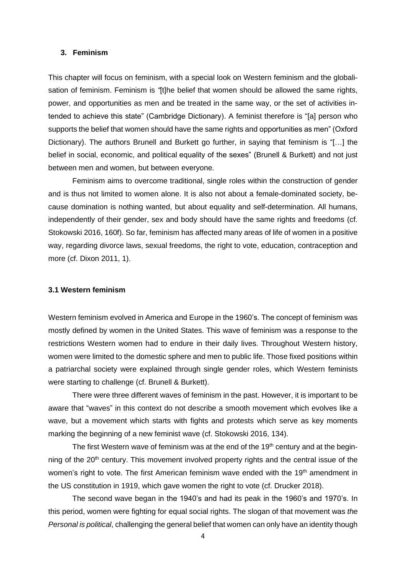#### <span id="page-4-0"></span>**3. Feminism**

This chapter will focus on feminism, with a special look on Western feminism and the globalisation of feminism. Feminism is *"*[t]he belief that women should be allowed the same rights, power, and opportunities as men and be treated in the same way, or the set of activities intended to achieve this state" (Cambridge Dictionary). A feminist therefore is "[a] person who supports the belief that women should have the same rights and opportunities as men" (Oxford Dictionary). The authors Brunell and Burkett go further, in saying that feminism is "[…] the belief in social, economic, and political equality of the sexes" (Brunell & Burkett) and not just between men and women, but between everyone.

Feminism aims to overcome traditional, single roles within the construction of gender and is thus not limited to women alone. It is also not about a female-dominated society, because domination is nothing wanted, but about equality and self-determination. All humans, independently of their gender, sex and body should have the same rights and freedoms (cf. Stokowski 2016, 160f). So far, feminism has affected many areas of life of women in a positive way, regarding divorce laws, sexual freedoms, the right to vote, education, contraception and more (cf. Dixon 2011, 1).

#### <span id="page-4-1"></span>**3.1 Western feminism**

Western feminism evolved in America and Europe in the 1960's. The concept of feminism was mostly defined by women in the United States. This wave of feminism was a response to the restrictions Western women had to endure in their daily lives. Throughout Western history, women were limited to the domestic sphere and men to public life. Those fixed positions within a patriarchal society were explained through single gender roles, which Western feminists were starting to challenge (cf. Brunell & Burkett).

There were three different waves of feminism in the past. However, it is important to be aware that "waves" in this context do not describe a smooth movement which evolves like a wave, but a movement which starts with fights and protests which serve as key moments marking the beginning of a new feminist wave (cf. Stokowski 2016, 134).

The first Western wave of feminism was at the end of the  $19<sup>th</sup>$  century and at the beginning of the  $20<sup>th</sup>$  century. This movement involved property rights and the central issue of the women's right to vote. The first American feminism wave ended with the 19<sup>th</sup> amendment in the US constitution in 1919, which gave women the right to vote (cf. Drucker 2018).

The second wave began in the 1940's and had its peak in the 1960's and 1970's. In this period, women were fighting for equal social rights. The slogan of that movement was *the Personal is political*, challenging the general belief that women can only have an identity though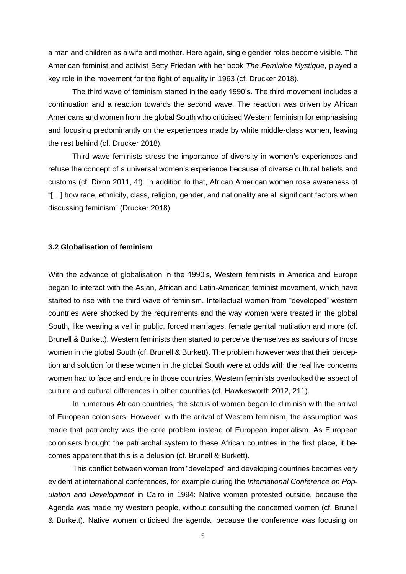a man and children as a wife and mother. Here again, single gender roles become visible. The American feminist and activist Betty Friedan with her book *The Feminine Mystique*, played a key role in the movement for the fight of equality in 1963 (cf. Drucker 2018).

The third wave of feminism started in the early 1990's. The third movement includes a continuation and a reaction towards the second wave. The reaction was driven by African Americans and women from the global South who criticised Western feminism for emphasising and focusing predominantly on the experiences made by white middle-class women, leaving the rest behind (cf. Drucker 2018).

Third wave feminists stress the importance of diversity in women's experiences and refuse the concept of a universal women's experience because of diverse cultural beliefs and customs (cf. Dixon 2011, 4f). In addition to that, African American women rose awareness of "[…] how race, ethnicity, class, religion, gender, and nationality are all significant factors when discussing feminism" (Drucker 2018).

#### <span id="page-5-0"></span>**3.2 Globalisation of feminism**

With the advance of globalisation in the 1990's, Western feminists in America and Europe began to interact with the Asian, African and Latin-American feminist movement, which have started to rise with the third wave of feminism. Intellectual women from "developed" western countries were shocked by the requirements and the way women were treated in the global South, like wearing a veil in public, forced marriages, female genital mutilation and more (cf. Brunell & Burkett). Western feminists then started to perceive themselves as saviours of those women in the global South (cf. Brunell & Burkett). The problem however was that their perception and solution for these women in the global South were at odds with the real live concerns women had to face and endure in those countries. Western feminists overlooked the aspect of culture and cultural differences in other countries (cf. Hawkesworth 2012, 211).

In numerous African countries, the status of women began to diminish with the arrival of European colonisers. However, with the arrival of Western feminism, the assumption was made that patriarchy was the core problem instead of European imperialism. As European colonisers brought the patriarchal system to these African countries in the first place, it becomes apparent that this is a delusion (cf. Brunell & Burkett).

This conflict between women from "developed" and developing countries becomes very evident at international conferences, for example during the *International Conference on Population and Development* in Cairo in 1994: Native women protested outside, because the Agenda was made my Western people, without consulting the concerned women (cf. Brunell & Burkett). Native women criticised the agenda, because the conference was focusing on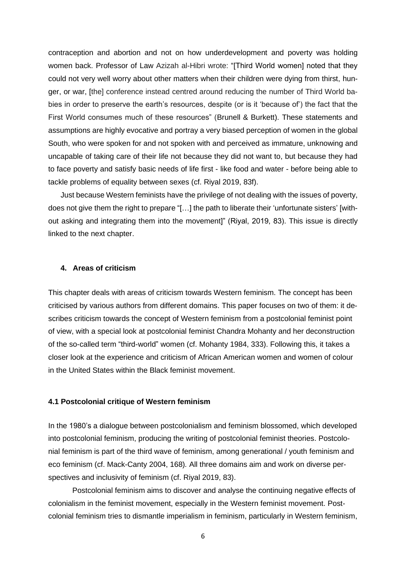contraception and abortion and not on how underdevelopment and poverty was holding women back. Professor of Law Azizah al-Hibri wrote: "[Third World women] noted that they could not very well worry about other matters when their children were dying from thirst, hunger, or war, [the] conference instead centred around reducing the number of Third World babies in order to preserve the earth's resources, despite (or is it 'because of') the fact that the First World consumes much of these resources" (Brunell & Burkett). These statements and assumptions are highly evocative and portray a very biased perception of women in the global South, who were spoken for and not spoken with and perceived as immature, unknowing and uncapable of taking care of their life not because they did not want to, but because they had to face poverty and satisfy basic needs of life first - like food and water - before being able to tackle problems of equality between sexes (cf. Riyal 2019, 83f).

Just because Western feminists have the privilege of not dealing with the issues of poverty, does not give them the right to prepare "[…] the path to liberate their 'unfortunate sisters' [without asking and integrating them into the movement]" (Riyal, 2019, 83). This issue is directly linked to the next chapter.

#### <span id="page-6-0"></span>**4. Areas of criticism**

This chapter deals with areas of criticism towards Western feminism. The concept has been criticised by various authors from different domains. This paper focuses on two of them: it describes criticism towards the concept of Western feminism from a postcolonial feminist point of view, with a special look at postcolonial feminist Chandra Mohanty and her deconstruction of the so-called term "third-world" women (cf. Mohanty 1984, 333). Following this, it takes a closer look at the experience and criticism of African American women and women of colour in the United States within the Black feminist movement.

#### <span id="page-6-1"></span>**4.1 Postcolonial critique of Western feminism**

In the 1980's a dialogue between postcolonialism and feminism blossomed, which developed into postcolonial feminism, producing the writing of postcolonial feminist theories. Postcolonial feminism is part of the third wave of feminism, among generational / youth feminism and eco feminism (cf. Mack-Canty 2004, 168)*.* All three domains aim and work on diverse perspectives and inclusivity of feminism (cf. Riyal 2019, 83).

Postcolonial feminism aims to discover and analyse the continuing negative effects of colonialism in the feminist movement, especially in the Western feminist movement. Postcolonial feminism tries to dismantle imperialism in feminism, particularly in Western feminism,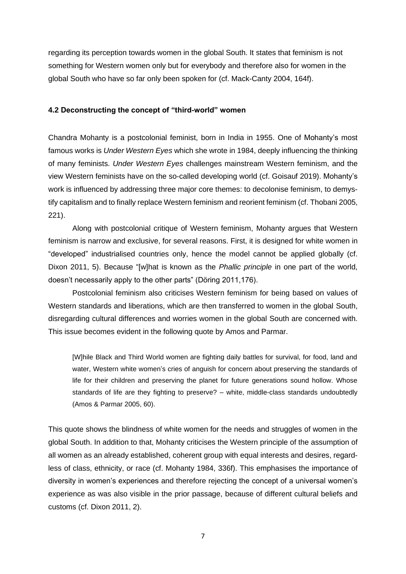regarding its perception towards women in the global South. It states that feminism is not something for Western women only but for everybody and therefore also for women in the global South who have so far only been spoken for (cf. Mack-Canty 2004, 164f).

## <span id="page-7-0"></span>**4.2 Deconstructing the concept of "third-world" women**

Chandra Mohanty is a postcolonial feminist, born in India in 1955. One of Mohanty's most famous works is *Under Western Eyes* which she wrote in 1984, deeply influencing the thinking of many feminists. *Under Western Eyes* challenges mainstream Western feminism, and the view Western feminists have on the so-called developing world (cf. Goisauf 2019). Mohanty's work is influenced by addressing three major core themes: to decolonise feminism, to demystify capitalism and to finally replace Western feminism and reorient feminism (cf. Thobani 2005, 221).

Along with postcolonial critique of Western feminism, Mohanty argues that Western feminism is narrow and exclusive, for several reasons. First, it is designed for white women in "developed" industrialised countries only, hence the model cannot be applied globally (cf. Dixon 2011, 5). Because "[w]hat is known as the *Phallic principle* in one part of the world, doesn't necessarily apply to the other parts" (Döring 2011,176).

Postcolonial feminism also criticises Western feminism for being based on values of Western standards and liberations, which are then transferred to women in the global South, disregarding cultural differences and worries women in the global South are concerned with. This issue becomes evident in the following quote by Amos and Parmar.

[W]hile Black and Third World women are fighting daily battles for survival, for food, land and water, Western white women's cries of anguish for concern about preserving the standards of life for their children and preserving the planet for future generations sound hollow. Whose standards of life are they fighting to preserve? – white, middle-class standards undoubtedly (Amos & Parmar 2005, 60).

This quote shows the blindness of white women for the needs and struggles of women in the global South. In addition to that, Mohanty criticises the Western principle of the assumption of all women as an already established, coherent group with equal interests and desires, regardless of class, ethnicity, or race (cf. Mohanty 1984, 336f). This emphasises the importance of diversity in women's experiences and therefore rejecting the concept of a universal women's experience as was also visible in the prior passage, because of different cultural beliefs and customs (cf. Dixon 2011, 2).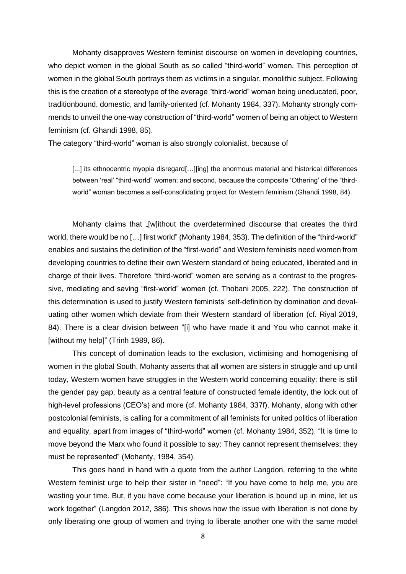Mohanty disapproves Western feminist discourse on women in developing countries, who depict women in the global South as so called "third-world" women. This perception of women in the global South portrays them as victims in a singular, monolithic subject. Following this is the creation of a stereotype of the average "third-world" woman being uneducated, poor, traditionbound, domestic, and family-oriented (cf. Mohanty 1984, 337). Mohanty strongly commends to unveil the one-way construction of "third-world" women of being an object to Western feminism (cf. Ghandi 1998, 85).

The category "third-world" woman is also strongly colonialist, because of

[...] its ethnocentric myopia disregard[...][ing] the enormous material and historical differences between 'real' "third-world" women; and second, because the composite 'Othering' of the "thirdworld" woman becomes a self-consolidating project for Western feminism (Ghandi 1998, 84).

Mohanty claims that "[w]ithout the overdetermined discourse that creates the third world, there would be no […] first world" (Mohanty 1984, 353). The definition of the "third-world" enables and sustains the definition of the "first-world" and Western feminists need women from developing countries to define their own Western standard of being educated, liberated and in charge of their lives. Therefore "third-world" women are serving as a contrast to the progressive, mediating and saving "first-world" women (cf. Thobani 2005, 222). The construction of this determination is used to justify Western feminists' self-definition by domination and devaluating other women which deviate from their Western standard of liberation (cf. Riyal 2019, 84). There is a clear division between "[i] who have made it and You who cannot make it [without my help]" (Trinh 1989, 86).

This concept of domination leads to the exclusion, victimising and homogenising of women in the global South. Mohanty asserts that all women are sisters in struggle and up until today, Western women have struggles in the Western world concerning equality: there is still the gender pay gap, beauty as a central feature of constructed female identity, the lock out of high-level professions (CEO's) and more (cf. Mohanty 1984, 337f). Mohanty, along with other postcolonial feminists, is calling for a commitment of all feminists for united politics of liberation and equality, apart from images of "third-world" women (cf. Mohanty 1984, 352). "It is time to move beyond the Marx who found it possible to say: They cannot represent themselves; they must be represented" (Mohanty, 1984, 354).

This goes hand in hand with a quote from the author Langdon, referring to the white Western feminist urge to help their sister in "need": "If you have come to help me, you are wasting your time. But, if you have come because your liberation is bound up in mine, let us work together" (Langdon 2012, 386). This shows how the issue with liberation is not done by only liberating one group of women and trying to liberate another one with the same model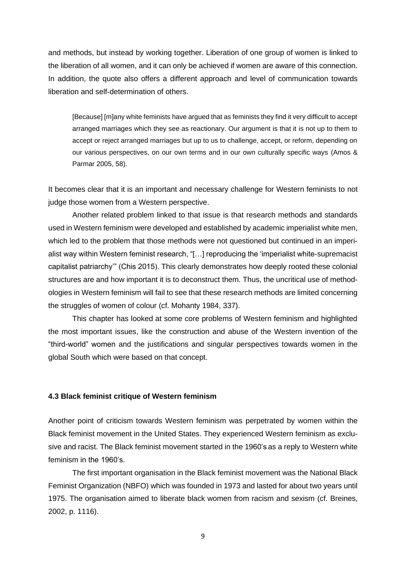and methods, but instead by working together. Liberation of one group of women is linked to the liberation of all women, and it can only be achieved if women are aware of this connection. In addition, the quote also offers a different approach and level of communication towards liberation and self-determination of others.

[Because] [m]any white feminists have argued that as feminists they find it very difficult to accept arranged marriages which they see as reactionary. Our argument is that it is not up to them to accept or reject arranged marriages but up to us to challenge, accept, or reform, depending on our various perspectives, on our own terms and in our own culturally specific ways (Amos & Parmar 2005, 58).

It becomes clear that it is an important and necessary challenge for Western feminists to not judge those women from a Western perspective.

Another related problem linked to that issue is that research methods and standards used in Western feminism were developed and established by academic imperialist white men, which led to the problem that those methods were not questioned but continued in an imperialist way within Western feminist research, "[…] reproducing the 'imperialist white-supremacist capitalist patriarchy'" (Chis 2015). This clearly demonstrates how deeply rooted these colonial structures are and how important it is to deconstruct them. Thus, the uncritical use of methodologies in Western feminism will fail to see that these research methods are limited concerning the struggles of women of colour (cf. Mohanty 1984, 337).

This chapter has looked at some core problems of Western feminism and highlighted the most important issues, like the construction and abuse of the Western invention of the "third-world" women and the justifications and singular perspectives towards women in the global South which were based on that concept.

#### <span id="page-9-0"></span>**4.3 Black feminist critique of Western feminism**

Another point of criticism towards Western feminism was perpetrated by women within the Black feminist movement in the United States. They experienced Western feminism as exclusive and racist. The Black feminist movement started in the 1960's as a reply to Western white feminism in the 1960's.

The first important organisation in the Black feminist movement was the National Black Feminist Organization (NBFO) which was founded in 1973 and lasted for about two years until 1975. The organisation aimed to liberate black women from racism and sexism (cf. Breines, 2002, p. 1116).

9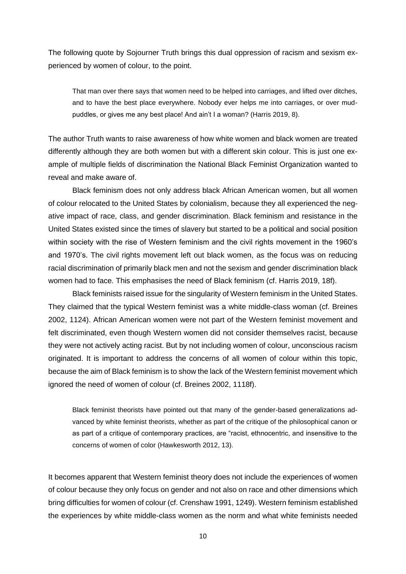The following quote by Sojourner Truth brings this dual oppression of racism and sexism experienced by women of colour, to the point.

That man over there says that women need to be helped into carriages, and lifted over ditches, and to have the best place everywhere. Nobody ever helps me into carriages, or over mudpuddles, or gives me any best place! And ain't I a woman? (Harris 2019, 8).

The author Truth wants to raise awareness of how white women and black women are treated differently although they are both women but with a different skin colour. This is just one example of multiple fields of discrimination the National Black Feminist Organization wanted to reveal and make aware of.

Black feminism does not only address black African American women, but all women of colour relocated to the United States by colonialism, because they all experienced the negative impact of race, class, and gender discrimination. Black feminism and resistance in the United States existed since the times of slavery but started to be a political and social position within society with the rise of Western feminism and the civil rights movement in the 1960's and 1970's. The civil rights movement left out black women, as the focus was on reducing racial discrimination of primarily black men and not the sexism and gender discrimination black women had to face. This emphasises the need of Black feminism (cf. Harris 2019, 18f).

Black feminists raised issue for the singularity of Western feminism in the United States. They claimed that the typical Western feminist was a white middle-class woman (cf. Breines 2002, 1124). African American women were not part of the Western feminist movement and felt discriminated, even though Western women did not consider themselves racist, because they were not actively acting racist. But by not including women of colour, unconscious racism originated. It is important to address the concerns of all women of colour within this topic, because the aim of Black feminism is to show the lack of the Western feminist movement which ignored the need of women of colour (cf. Breines 2002, 1118f).

Black feminist theorists have pointed out that many of the gender-based generalizations advanced by white feminist theorists, whether as part of the critique of the philosophical canon or as part of a critique of contemporary practices, are "racist, ethnocentric, and insensitive to the concerns of women of color (Hawkesworth 2012, 13).

It becomes apparent that Western feminist theory does not include the experiences of women of colour because they only focus on gender and not also on race and other dimensions which bring difficulties for women of colour (cf. Crenshaw 1991, 1249). Western feminism established the experiences by white middle-class women as the norm and what white feminists needed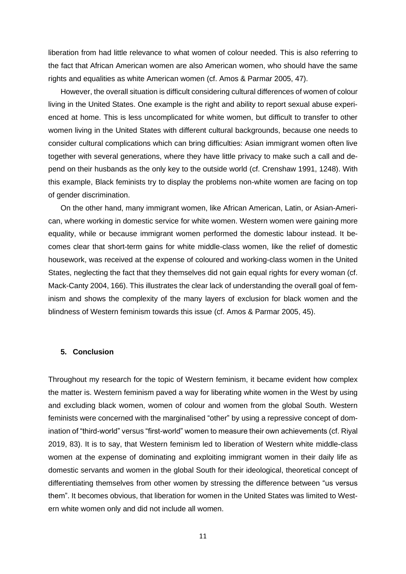liberation from had little relevance to what women of colour needed. This is also referring to the fact that African American women are also American women, who should have the same rights and equalities as white American women (cf. Amos & Parmar 2005, 47).

However, the overall situation is difficult considering cultural differences of women of colour living in the United States. One example is the right and ability to report sexual abuse experienced at home. This is less uncomplicated for white women, but difficult to transfer to other women living in the United States with different cultural backgrounds, because one needs to consider cultural complications which can bring difficulties: Asian immigrant women often live together with several generations, where they have little privacy to make such a call and depend on their husbands as the only key to the outside world (cf. Crenshaw 1991, 1248). With this example, Black feminists try to display the problems non-white women are facing on top of gender discrimination.

On the other hand, many immigrant women, like African American, Latin, or Asian-American, where working in domestic service for white women. Western women were gaining more equality, while or because immigrant women performed the domestic labour instead. It becomes clear that short-term gains for white middle-class women, like the relief of domestic housework, was received at the expense of coloured and working-class women in the United States, neglecting the fact that they themselves did not gain equal rights for every woman (cf. Mack-Canty 2004, 166). This illustrates the clear lack of understanding the overall goal of feminism and shows the complexity of the many layers of exclusion for black women and the blindness of Western feminism towards this issue (cf. Amos & Parmar 2005, 45).

### <span id="page-11-0"></span>**5. Conclusion**

Throughout my research for the topic of Western feminism, it became evident how complex the matter is. Western feminism paved a way for liberating white women in the West by using and excluding black women, women of colour and women from the global South. Western feminists were concerned with the marginalised "other" by using a repressive concept of domination of "third-world" versus "first-world" women to measure their own achievements (cf. Riyal 2019, 83). It is to say, that Western feminism led to liberation of Western white middle-class women at the expense of dominating and exploiting immigrant women in their daily life as domestic servants and women in the global South for their ideological, theoretical concept of differentiating themselves from other women by stressing the difference between "us versus them". It becomes obvious, that liberation for women in the United States was limited to Western white women only and did not include all women.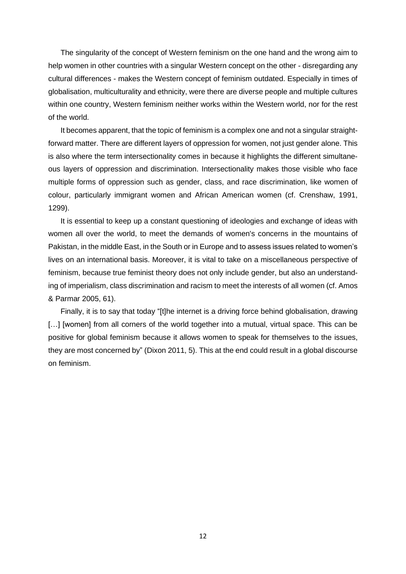The singularity of the concept of Western feminism on the one hand and the wrong aim to help women in other countries with a singular Western concept on the other - disregarding any cultural differences - makes the Western concept of feminism outdated. Especially in times of globalisation, multiculturality and ethnicity, were there are diverse people and multiple cultures within one country, Western feminism neither works within the Western world, nor for the rest of the world.

It becomes apparent, that the topic of feminism is a complex one and not a singular straightforward matter. There are different layers of oppression for women, not just gender alone. This is also where the term intersectionality comes in because it highlights the different simultaneous layers of oppression and discrimination. Intersectionality makes those visible who face multiple forms of oppression such as gender, class, and race discrimination, like women of colour, particularly immigrant women and African American women (cf. Crenshaw, 1991, 1299).

It is essential to keep up a constant questioning of ideologies and exchange of ideas with women all over the world, to meet the demands of women's concerns in the mountains of Pakistan, in the middle East, in the South or in Europe and to assess issues related to women's lives on an international basis. Moreover, it is vital to take on a miscellaneous perspective of feminism, because true feminist theory does not only include gender, but also an understanding of imperialism, class discrimination and racism to meet the interests of all women (cf. Amos & Parmar 2005, 61).

Finally, it is to say that today "[t]he internet is a driving force behind globalisation, drawing [...] [women] from all corners of the world together into a mutual, virtual space. This can be positive for global feminism because it allows women to speak for themselves to the issues, they are most concerned by" (Dixon 2011, 5). This at the end could result in a global discourse on feminism.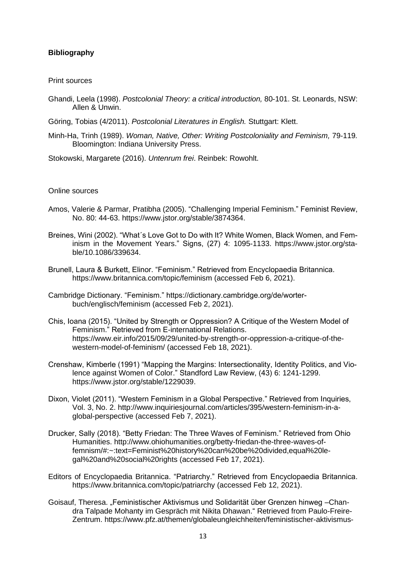### <span id="page-13-0"></span>**Bibliography**

#### Print sources

- Ghandi, Leela (1998). *Postcolonial Theory: a critical introduction,* 80-101. St. Leonards, NSW: Allen & Unwin.
- Göring, Tobias (4/2011). *Postcolonial Literatures in English.* Stuttgart: Klett.
- Minh-Ha, Trinh (1989). *Woman, Native, Other: Writing Postcoloniality and Feminism,* 79-119*.*  Bloomington: Indiana University Press.
- Stokowski, Margarete (2016). *Untenrum frei*. Reinbek: Rowohlt.

#### Online sources

- Amos, Valerie & Parmar, Pratibha (2005). "Challenging Imperial Feminism." Feminist Review, No. 80: 44-63. https://www.jstor.org/stable/3874364.
- Breines, Wini (2002). "What´s Love Got to Do with It? White Women, Black Women, and Feminism in the Movement Years." Signs, (27) 4: 1095-1133. https://www.jstor.org/stable/10.1086/339634.
- Brunell, Laura & Burkett, Elinor. "Feminism." Retrieved from Encyclopaedia Britannica. https://www.britannica.com/topic/feminism (accessed Feb 6, 2021).
- Cambridge Dictionary. "Feminism." https://dictionary.cambridge.org/de/worterbuch/englisch/feminism (accessed Feb 2, 2021).
- Chis, Ioana (2015). "United by Strength or Oppression? A Critique of the Western Model of Feminism." Retrieved from E-international Relations. https://www.eir.info/2015/09/29/united-by-strength-or-oppression-a-critique-of-thewestern-model-of-feminism/ (accessed Feb 18, 2021).
- Crenshaw, Kimberle (1991) "Mapping the Margins: Intersectionality, Identity Politics, and Violence against Women of Color." Standford Law Review, (43) 6: 1241-1299. https://www.jstor.org/stable/1229039.
- Dixon, Violet (2011). "Western Feminism in a Global Perspective." Retrieved from Inquiries, Vol. 3, No. 2. http://www.inquiriesjournal.com/articles/395/western-feminism-in-aglobal-perspective (accessed Feb 7, 2021).
- Drucker, Sally (2018). "Betty Friedan: The Three Waves of Feminism." Retrieved from Ohio Humanities. http://www.ohiohumanities.org/betty-friedan-the-three-waves-offemnism/#:~:text=Feminist%20history%20can%20be%20divided,equal%20legal%20and%20social%20rights (accessed Feb 17, 2021).
- Editors of Encyclopaedia Britannica. "Patriarchy." Retrieved from Encyclopaedia Britannica. https://www.britannica.com/topic/patriarchy (accessed Feb 12, 2021).
- Goisauf, Theresa. "Feministischer Aktivismus und Solidarität über Grenzen hinweg –Chandra Talpade Mohanty im Gespräch mit Nikita Dhawan." Retrieved from Paulo-Freire-Zentrum. https://www.pfz.at/themen/globaleungleichheiten/feministischer-aktivismus-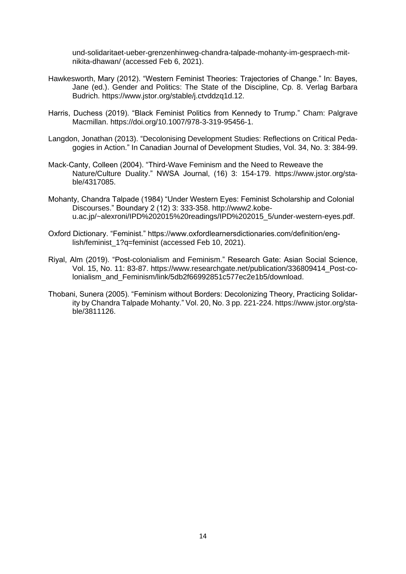und-solidaritaet-ueber-grenzenhinweg-chandra-talpade-mohanty-im-gespraech-mitnikita-dhawan/ (accessed Feb 6, 2021).

- Hawkesworth, Mary (2012). "Western Feminist Theories: Trajectories of Change." In: Bayes, Jane (ed.). Gender and Politics: The State of the Discipline, Cp. 8. Verlag Barbara Budrich. https://www.jstor.org/stable/j.ctvddzq1d.12.
- Harris, Duchess (2019). "Black Feminist Politics from Kennedy to Trump." Cham: Palgrave Macmillan. https://doi.org/10.1007/978-3-319-95456-1.
- Langdon, Jonathan (2013). "Decolonising Development Studies: Reflections on Critical Pedagogies in Action." In Canadian Journal of Development Studies, Vol. 34, No. 3: 384-99.
- Mack-Canty, Colleen (2004). "Third-Wave Feminism and the Need to Reweave the Nature/Culture Duality." NWSA Journal, (16) 3: 154-179. https://www.jstor.org/stable/4317085.
- Mohanty, Chandra Talpade (1984) "Under Western Eyes: Feminist Scholarship and Colonial Discourses." Boundary 2 (12) 3: 333-358. http://www2.kobeu.ac.jp/~alexroni/IPD%202015%20readings/IPD%202015\_5/under-western-eyes.pdf.
- Oxford Dictionary. "Feminist." https://www.oxfordlearnersdictionaries.com/definition/english/feminist 1?q=feminist (accessed Feb 10, 2021).
- Riyal, Alm (2019). "Post-colonialism and Feminism." Research Gate: Asian Social Science, Vol. 15, No. 11: 83-87. https://www.researchgate.net/publication/336809414\_Post-colonialism\_and\_Feminism/link/5db2f66992851c577ec2e1b5/download.
- Thobani, Sunera (2005). "Feminism without Borders: Decolonizing Theory, Practicing Solidarity by Chandra Talpade Mohanty." Vol. 20, No. 3 pp. 221-224. https://www.jstor.org/stable/3811126.